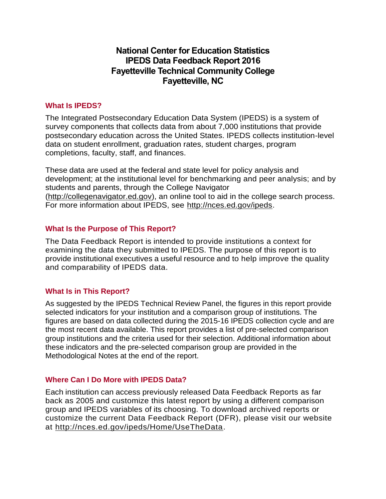# **National Center for Education Statistics IPEDS Data Feedback Report 2016 Fayetteville Technical Community College Fayetteville, NC**

## **What Is IPEDS?**

The Integrated Postsecondary Education Data System (IPEDS) is a system of survey components that collects data from about 7,000 institutions that provide postsecondary education across the United States. IPEDS collects institution-level data on student enrollment, graduation rates, student charges, program completions, faculty, staff, and finances.

These data are used at the federal and state level for policy analysis and development; at the institutional level for benchmarking and peer analysis; and by students and parents, through the College Navigator [\(http://collegenavigator.ed.gov\)](http://collegenavigator.ed.gov/), an online tool to aid in the college search process. For more information about IPEDS, see [http://nces.ed.gov/ipeds.](http://nces.ed.gov/ipeds)

## **What Is the Purpose of This Report?**

The Data Feedback Report is intended to provide institutions a context for examining the data they submitted to IPEDS. The purpose of this report is to provide institutional executives a useful resource and to help improve the quality and comparability of IPEDS data.

# **What Is in This Report?**

As suggested by the IPEDS Technical Review Panel, the figures in this report provide selected indicators for your institution and a comparison group of institutions. The figures are based on data collected during the 2015-16 IPEDS collection cycle and are the most recent data available. This report provides a list of pre-selected comparison group institutions and the criteria used for their selection. Additional information about these indicators and the pre-selected comparison group are provided in the Methodological Notes at the end of the report.

## **Where Can I Do More with IPEDS Data?**

Each institution can access previously released Data Feedback Reports as far back as 2005 and customize this latest report by using a different comparison group and IPEDS variables of its choosing. To download archived reports or customize the current Data Feedback Report (DFR), please visit our website at [http://nces.ed.gov/ipeds/Home/UseTheData.](http://nces.ed.gov/ipeds/Home/UseTheData)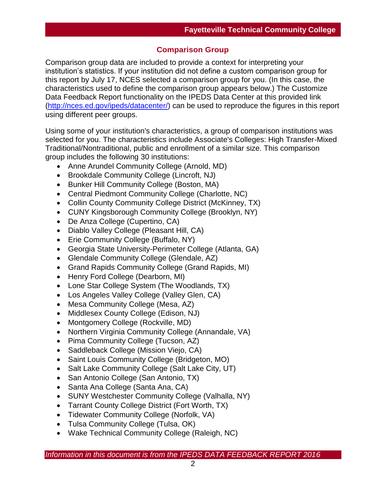# **Comparison Group**

Comparison group data are included to provide a context for interpreting your institution's statistics. If your institution did not define a custom comparison group for this report by July 17, NCES selected a comparison group for you. (In this case, the characteristics used to define the comparison group appears below.) The Customize Data Feedback Report functionality on the IPEDS Data Center at this provided link [\(http://nces.ed.gov/ipeds/datacenter/\)](http://nces.ed.gov/ipeds/datacenter/) can be used to reproduce the figures in this report using different peer groups.

Using some of your institution's characteristics, a group of comparison institutions was selected for you. The characteristics include Associate's Colleges: High Transfer-Mixed Traditional/Nontraditional, public and enrollment of a similar size. This comparison group includes the following 30 institutions:

- Anne Arundel Community College (Arnold, MD)
- Brookdale Community College (Lincroft, NJ)
- Bunker Hill Community College (Boston, MA)
- Central Piedmont Community College (Charlotte, NC)
- Collin County Community College District (McKinney, TX)
- CUNY Kingsborough Community College (Brooklyn, NY)
- De Anza College (Cupertino, CA)
- Diablo Valley College (Pleasant Hill, CA)
- Erie Community College (Buffalo, NY)
- Georgia State University-Perimeter College (Atlanta, GA)
- Glendale Community College (Glendale, AZ)
- Grand Rapids Community College (Grand Rapids, MI)
- Henry Ford College (Dearborn, MI)
- Lone Star College System (The Woodlands, TX)
- Los Angeles Valley College (Valley Glen, CA)
- Mesa Community College (Mesa, AZ)
- Middlesex County College (Edison, NJ)
- Montgomery College (Rockville, MD)
- Northern Virginia Community College (Annandale, VA)
- Pima Community College (Tucson, AZ)
- Saddleback College (Mission Viejo, CA)
- Saint Louis Community College (Bridgeton, MO)
- Salt Lake Community College (Salt Lake City, UT)
- San Antonio College (San Antonio, TX)
- Santa Ana College (Santa Ana, CA)
- SUNY Westchester Community College (Valhalla, NY)
- Tarrant County College District (Fort Worth, TX)
- Tidewater Community College (Norfolk, VA)
- Tulsa Community College (Tulsa, OK)
- Wake Technical Community College (Raleigh, NC)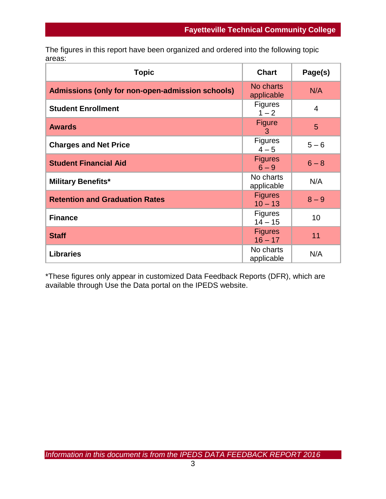The figures in this report have been organized and ordered into the following topic areas:

| <b>Topic</b>                                     | <b>Chart</b>                | Page(s) |
|--------------------------------------------------|-----------------------------|---------|
| Admissions (only for non-open-admission schools) | No charts<br>applicable     | N/A     |
| <b>Student Enrollment</b>                        | <b>Figures</b><br>$1 - 2$   | 4       |
| <b>Awards</b>                                    | <b>Figure</b><br>3          | 5       |
| <b>Charges and Net Price</b>                     | <b>Figures</b><br>$4 - 5$   | $5 - 6$ |
| <b>Student Financial Aid</b>                     | <b>Figures</b><br>$6 - 9$   | $6 - 8$ |
| <b>Military Benefits*</b>                        | No charts<br>applicable     | N/A     |
| <b>Retention and Graduation Rates</b>            | <b>Figures</b><br>$10 - 13$ | $8 - 9$ |
| <b>Finance</b>                                   | <b>Figures</b><br>$14 - 15$ | 10      |
| <b>Staff</b>                                     | <b>Figures</b><br>$16 - 17$ | 11      |
| <b>Libraries</b>                                 | No charts<br>applicable     | N/A     |

\*These figures only appear in customized Data Feedback Reports (DFR), which are available through Use the Data portal on the IPEDS website.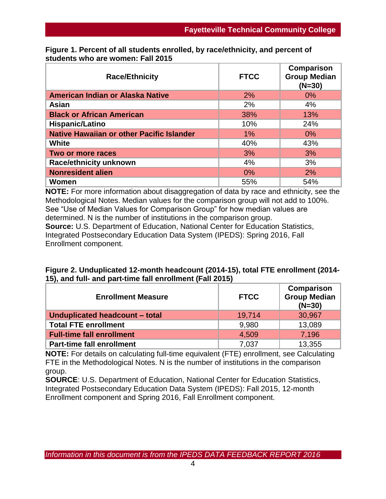| <b>Race/Ethnicity</b>                            | <b>FTCC</b> | Comparison<br><b>Group Median</b><br>$(N=30)$ |
|--------------------------------------------------|-------------|-----------------------------------------------|
| American Indian or Alaska Native                 | 2%          | $0\%$                                         |
| Asian                                            | 2%          | 4%                                            |
| <b>Black or African American</b>                 | 38%         | 13%                                           |
| Hispanic/Latino                                  | 10%         | 24%                                           |
| <b>Native Hawaiian or other Pacific Islander</b> | 1%          | $0\%$                                         |
| <b>White</b>                                     | 40%         | 43%                                           |
| Two or more races                                | 3%          | 3%                                            |
| <b>Race/ethnicity unknown</b>                    | 4%          | 3%                                            |
| <b>Nonresident alien</b>                         | 0%          | 2%                                            |
| Women                                            | 55%         | 54%                                           |

**Figure 1. Percent of all students enrolled, by race/ethnicity, and percent of students who are women: Fall 2015**

**NOTE:** For more information about disaggregation of data by race and ethnicity, see the Methodological Notes. Median values for the comparison group will not add to 100%. See "Use of Median Values for Comparison Group" for how median values are determined. N is the number of institutions in the comparison group. **Source:** U.S. Department of Education, National Center for Education Statistics, Integrated Postsecondary Education Data System (IPEDS): Spring 2016, Fall Enrollment component.

| Figure 2. Unduplicated 12-month headcount (2014-15), total FTE enrollment (2014- |  |
|----------------------------------------------------------------------------------|--|
| 15), and full- and part-time fall enrollment (Fall 2015)                         |  |

| <b>Enrollment Measure</b>        | <b>FTCC</b> | Comparison<br><b>Group Median</b><br>$(N=30)$ |  |
|----------------------------------|-------------|-----------------------------------------------|--|
| Unduplicated headcount - total   | 19,714      | 30,967                                        |  |
| <b>Total FTE enrollment</b>      | 9.980       | 13,089                                        |  |
| <b>Full-time fall enrollment</b> | 4,509       | 7,196                                         |  |
| <b>Part-time fall enrollment</b> | 7,037       | 13,355                                        |  |

**NOTE:** For details on calculating full-time equivalent (FTE) enrollment, see Calculating FTE in the Methodological Notes. N is the number of institutions in the comparison group.

**SOURCE**: U.S. Department of Education, National Center for Education Statistics, Integrated Postsecondary Education Data System (IPEDS): Fall 2015, 12-month Enrollment component and Spring 2016, Fall Enrollment component.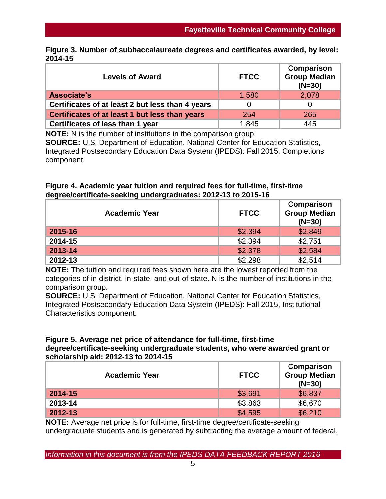| Figure 3. Number of subbaccalaureate degrees and certificates awarded, by level: |  |
|----------------------------------------------------------------------------------|--|
| 2014-15                                                                          |  |

| <b>Levels of Award</b>                           | <b>FTCC</b> | <b>Comparison</b><br><b>Group Median</b><br>$(N=30)$ |
|--------------------------------------------------|-------------|------------------------------------------------------|
| Associate's                                      | 1,580       | 2,078                                                |
| Certificates of at least 2 but less than 4 years |             |                                                      |
| Certificates of at least 1 but less than years   | 254         | 265                                                  |
| Certificates of less than 1 year                 | 1,845       | 445                                                  |

**NOTE:** N is the number of institutions in the comparison group. **SOURCE:** U.S. Department of Education, National Center for Education Statistics, Integrated Postsecondary Education Data System (IPEDS): Fall 2015, Completions component.

## **Figure 4. Academic year tuition and required fees for full-time, first-time degree/certificate-seeking undergraduates: 2012-13 to 2015-16**

| <b>Academic Year</b> | <b>FTCC</b> | Comparison<br><b>Group Median</b><br>$(N=30)$ |
|----------------------|-------------|-----------------------------------------------|
| 2015-16              | \$2,394     | \$2,849                                       |
| 2014-15              | \$2,394     | \$2,751                                       |
| 2013-14              | \$2,378     | \$2,584                                       |
| 2012-13              | \$2,298     | \$2,514                                       |

**NOTE:** The tuition and required fees shown here are the lowest reported from the categories of in-district, in-state, and out-of-state. N is the number of institutions in the comparison group.

**SOURCE:** U.S. Department of Education, National Center for Education Statistics, Integrated Postsecondary Education Data System (IPEDS): Fall 2015, Institutional Characteristics component.

### **Figure 5. Average net price of attendance for full-time, first-time degree/certificate-seeking undergraduate students, who were awarded grant or scholarship aid: 2012-13 to 2014-15**

| <b>Academic Year</b> | <b>FTCC</b> | Comparison<br><b>Group Median</b><br>$(N=30)$ |
|----------------------|-------------|-----------------------------------------------|
| 2014-15              | \$3,691     | \$6,837                                       |
| 2013-14              | \$3,863     | \$6,670                                       |
| 2012-13              | \$4,595     | \$6,210                                       |

**NOTE:** Average net price is for full-time, first-time degree/certificate-seeking undergraduate students and is generated by subtracting the average amount of federal,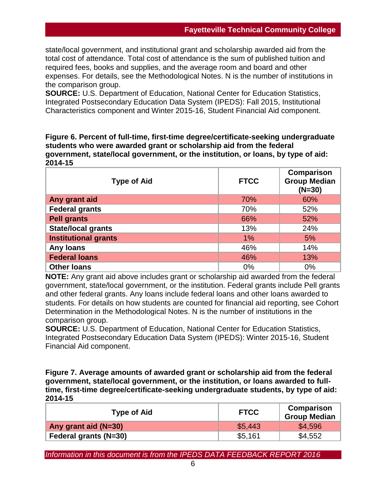state/local government, and institutional grant and scholarship awarded aid from the total cost of attendance. Total cost of attendance is the sum of published tuition and required fees, books and supplies, and the average room and board and other expenses. For details, see the Methodological Notes. N is the number of institutions in the comparison group.

**SOURCE:** U.S. Department of Education, National Center for Education Statistics, Integrated Postsecondary Education Data System (IPEDS): Fall 2015, Institutional Characteristics component and Winter 2015-16, Student Financial Aid component.

**Figure 6. Percent of full-time, first-time degree/certificate-seeking undergraduate students who were awarded grant or scholarship aid from the federal government, state/local government, or the institution, or loans, by type of aid: 2014-15**

| <b>Type of Aid</b>          | <b>FTCC</b> | Comparison<br><b>Group Median</b><br>$(N=30)$ |
|-----------------------------|-------------|-----------------------------------------------|
| Any grant aid               | 70%         | 60%                                           |
| <b>Federal grants</b>       | 70%         | 52%                                           |
| <b>Pell grants</b>          | 66%         | 52%                                           |
| <b>State/local grants</b>   | 13%         | 24%                                           |
| <b>Institutional grants</b> | $1\%$       | 5%                                            |
| <b>Any loans</b>            | 46%         | 14%                                           |
| <b>Federal loans</b>        | 46%         | 13%                                           |
| <b>Other loans</b>          | 0%          | 0%                                            |

**NOTE:** Any grant aid above includes grant or scholarship aid awarded from the federal government, state/local government, or the institution. Federal grants include Pell grants and other federal grants. Any loans include federal loans and other loans awarded to students. For details on how students are counted for financial aid reporting, see Cohort Determination in the Methodological Notes. N is the number of institutions in the comparison group.

**SOURCE:** U.S. Department of Education, National Center for Education Statistics, Integrated Postsecondary Education Data System (IPEDS): Winter 2015-16, Student Financial Aid component.

**Figure 7. Average amounts of awarded grant or scholarship aid from the federal government, state/local government, or the institution, or loans awarded to fulltime, first-time degree/certificate-seeking undergraduate students, by type of aid: 2014-15**

| <b>Type of Aid</b>           | <b>FTCC</b> | Comparison<br><b>Group Median</b> |  |
|------------------------------|-------------|-----------------------------------|--|
| Any grant aid (N=30)         | \$5.443     | \$4,596                           |  |
| <b>Federal grants (N=30)</b> | \$5,161     | \$4,552                           |  |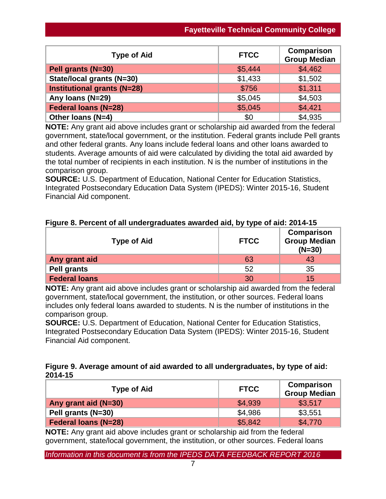| <b>Type of Aid</b>                 | <b>FTCC</b> | <b>Comparison</b><br><b>Group Median</b> |
|------------------------------------|-------------|------------------------------------------|
| Pell grants (N=30)                 | \$5,444     | \$4,462                                  |
| State/local grants (N=30)          | \$1,433     | \$1,502                                  |
| <b>Institutional grants (N=28)</b> | \$756       | \$1,311                                  |
| Any Ioans (N=29)                   | \$5,045     | \$4,503                                  |
| <b>Federal loans (N=28)</b>        | \$5,045     | \$4,421                                  |
| Other Ioans (N=4)                  | \$0         | \$4,935                                  |

**NOTE:** Any grant aid above includes grant or scholarship aid awarded from the federal government, state/local government, or the institution. Federal grants include Pell grants and other federal grants. Any loans include federal loans and other loans awarded to students. Average amounts of aid were calculated by dividing the total aid awarded by the total number of recipients in each institution. N is the number of institutions in the comparison group.

**SOURCE:** U.S. Department of Education, National Center for Education Statistics, Integrated Postsecondary Education Data System (IPEDS): Winter 2015-16, Student Financial Aid component.

|  |  | Figure 8. Percent of all undergraduates awarded aid, by type of aid: 2014-15 |  |  |  |
|--|--|------------------------------------------------------------------------------|--|--|--|
|--|--|------------------------------------------------------------------------------|--|--|--|

| <b>Type of Aid</b>   | <b>FTCC</b> | Comparison<br><b>Group Median</b><br>$(N=30)$ |
|----------------------|-------------|-----------------------------------------------|
| Any grant aid        | 63          | 43                                            |
| <b>Pell grants</b>   | 52          | 35                                            |
| <b>Federal loans</b> | ९०          | 15                                            |

**NOTE:** Any grant aid above includes grant or scholarship aid awarded from the federal government, state/local government, the institution, or other sources. Federal loans includes only federal loans awarded to students. N is the number of institutions in the comparison group.

**SOURCE:** U.S. Department of Education, National Center for Education Statistics, Integrated Postsecondary Education Data System (IPEDS): Winter 2015-16, Student Financial Aid component.

# **Figure 9. Average amount of aid awarded to all undergraduates, by type of aid: 2014-15**

| <b>Type of Aid</b>          | <b>FTCC</b> | Comparison<br><b>Group Median</b> |
|-----------------------------|-------------|-----------------------------------|
| Any grant aid (N=30)        | \$4,939     | \$3,517                           |
| Pell grants (N=30)          | \$4,986     | \$3,551                           |
| <b>Federal loans (N=28)</b> | \$5,842     | \$4,770                           |

**NOTE:** Any grant aid above includes grant or scholarship aid from the federal government, state/local government, the institution, or other sources. Federal loans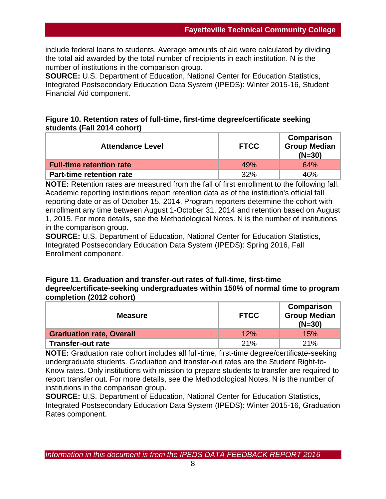include federal loans to students. Average amounts of aid were calculated by dividing the total aid awarded by the total number of recipients in each institution. N is the number of institutions in the comparison group.

**SOURCE:** U.S. Department of Education, National Center for Education Statistics, Integrated Postsecondary Education Data System (IPEDS): Winter 2015-16, Student Financial Aid component.

# **Figure 10. Retention rates of full-time, first-time degree/certificate seeking students (Fall 2014 cohort)**

| <b>Attendance Level</b>         | <b>FTCC</b> | Comparison<br><b>Group Median</b><br>$(N=30)$ |
|---------------------------------|-------------|-----------------------------------------------|
| <b>Full-time retention rate</b> | 49%         | 64%                                           |
| <b>Part-time retention rate</b> | 32%         | 46%                                           |

**NOTE:** Retention rates are measured from the fall of first enrollment to the following fall. Academic reporting institutions report retention data as of the institution's official fall reporting date or as of October 15, 2014. Program reporters determine the cohort with enrollment any time between August 1-October 31, 2014 and retention based on August 1, 2015. For more details, see the Methodological Notes. N is the number of institutions in the comparison group.

**SOURCE:** U.S. Department of Education, National Center for Education Statistics, Integrated Postsecondary Education Data System (IPEDS): Spring 2016, Fall Enrollment component.

## **Figure 11. Graduation and transfer-out rates of full-time, first-time degree/certificate-seeking undergraduates within 150% of normal time to program completion (2012 cohort)**

| <b>Measure</b>                  | <b>FTCC</b> | Comparison<br><b>Group Median</b><br>$(N=30)$ |
|---------------------------------|-------------|-----------------------------------------------|
| <b>Graduation rate, Overall</b> | 12%         | 15%                                           |
| <b>Transfer-out rate</b>        | 21%         | 21%                                           |

**NOTE:** Graduation rate cohort includes all full-time, first-time degree/certificate-seeking undergraduate students. Graduation and transfer-out rates are the Student Right-to-Know rates. Only institutions with mission to prepare students to transfer are required to report transfer out. For more details, see the Methodological Notes. N is the number of institutions in the comparison group.

**SOURCE:** U.S. Department of Education, National Center for Education Statistics, Integrated Postsecondary Education Data System (IPEDS): Winter 2015-16, Graduation Rates component.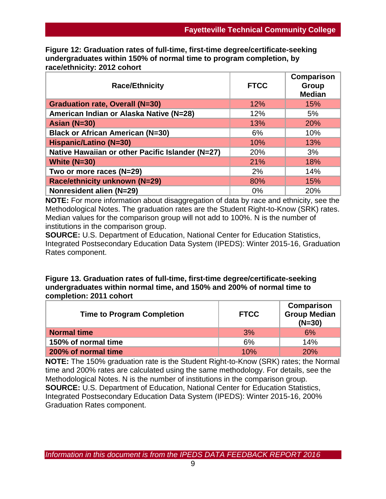**Figure 12: Graduation rates of full-time, first-time degree/certificate-seeking undergraduates within 150% of normal time to program completion, by race/ethnicity: 2012 cohort**

| <b>Race/Ethnicity</b>                            | <b>FTCC</b> | Comparison<br>Group<br><b>Median</b> |
|--------------------------------------------------|-------------|--------------------------------------|
| <b>Graduation rate, Overall (N=30)</b>           | 12%         | 15%                                  |
| American Indian or Alaska Native (N=28)          | 12%         | 5%                                   |
| Asian $(N=30)$                                   | 13%         | 20%                                  |
| <b>Black or African American (N=30)</b>          | 6%          | 10%                                  |
| Hispanic/Latino (N=30)                           | 10%         | 13%                                  |
| Native Hawaiian or other Pacific Islander (N=27) | 20%         | 3%                                   |
| White $(N=30)$                                   | 21%         | 18%                                  |
| Two or more races (N=29)                         | 2%          | 14%                                  |
| Race/ethnicity unknown (N=29)                    | 80%         | 15%                                  |
| Nonresident alien (N=29)                         | 0%          | 20%                                  |

**NOTE:** For more information about disaggregation of data by race and ethnicity, see the Methodological Notes. The graduation rates are the Student Right-to-Know (SRK) rates. Median values for the comparison group will not add to 100%. N is the number of institutions in the comparison group.

**SOURCE:** U.S. Department of Education, National Center for Education Statistics, Integrated Postsecondary Education Data System (IPEDS): Winter 2015-16, Graduation Rates component.

## **Figure 13. Graduation rates of full-time, first-time degree/certificate-seeking undergraduates within normal time, and 150% and 200% of normal time to completion: 2011 cohort**

| <b>Time to Program Completion</b> | <b>FTCC</b> | Comparison<br><b>Group Median</b><br>$(N=30)$ |
|-----------------------------------|-------------|-----------------------------------------------|
| <b>Normal time</b>                | 3%          | $6\%$                                         |
| 150% of normal time               | 6%          | 14%                                           |
| 200% of normal time               | 10%         | 20%                                           |

**NOTE:** The 150% graduation rate is the Student Right-to-Know (SRK) rates; the Normal time and 200% rates are calculated using the same methodology. For details, see the Methodological Notes. N is the number of institutions in the comparison group. **SOURCE:** U.S. Department of Education, National Center for Education Statistics, Integrated Postsecondary Education Data System (IPEDS): Winter 2015-16, 200% Graduation Rates component.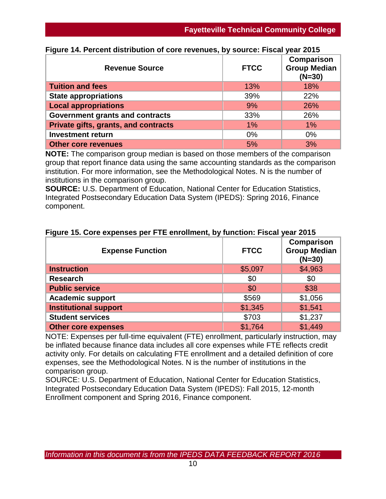| <b>Revenue Source</b>                | <b>FTCC</b> | <b>Comparison</b><br><b>Group Median</b><br>$(N=30)$ |
|--------------------------------------|-------------|------------------------------------------------------|
| <b>Tuition and fees</b>              | 13%         | 18%                                                  |
| <b>State appropriations</b>          | 39%         | 22%                                                  |
| <b>Local appropriations</b>          | 9%          | 26%                                                  |
| Government grants and contracts      | 33%         | 26%                                                  |
| Private gifts, grants, and contracts | $1\%$       | $1\%$                                                |
| <b>Investment return</b>             | 0%          | $0\%$                                                |
| <b>Other core revenues</b>           | 5%          | 3%                                                   |

## **Figure 14. Percent distribution of core revenues, by source: Fiscal year 2015**

**NOTE:** The comparison group median is based on those members of the comparison group that report finance data using the same accounting standards as the comparison institution. For more information, see the Methodological Notes. N is the number of institutions in the comparison group.

**SOURCE:** U.S. Department of Education, National Center for Education Statistics, Integrated Postsecondary Education Data System (IPEDS): Spring 2016, Finance component.

| <b>Expense Function</b>      | <b>FTCC</b> | Comparison<br><b>Group Median</b><br>$(N=30)$ |
|------------------------------|-------------|-----------------------------------------------|
| <b>Instruction</b>           | \$5,097     | \$4,963                                       |
| <b>Research</b>              | \$0         | \$0                                           |
| <b>Public service</b>        | \$0         | \$38                                          |
| <b>Academic support</b>      | \$569       | \$1,056                                       |
| <b>Institutional support</b> | \$1,345     | \$1,541                                       |
| <b>Student services</b>      | \$703       | \$1,237                                       |
| <b>Other core expenses</b>   | \$1,764     | \$1,449                                       |

## **Figure 15. Core expenses per FTE enrollment, by function: Fiscal year 2015**

NOTE: Expenses per full-time equivalent (FTE) enrollment, particularly instruction, may be inflated because finance data includes all core expenses while FTE reflects credit activity only. For details on calculating FTE enrollment and a detailed definition of core expenses, see the Methodological Notes. N is the number of institutions in the comparison group.

SOURCE: U.S. Department of Education, National Center for Education Statistics, Integrated Postsecondary Education Data System (IPEDS): Fall 2015, 12-month Enrollment component and Spring 2016, Finance component.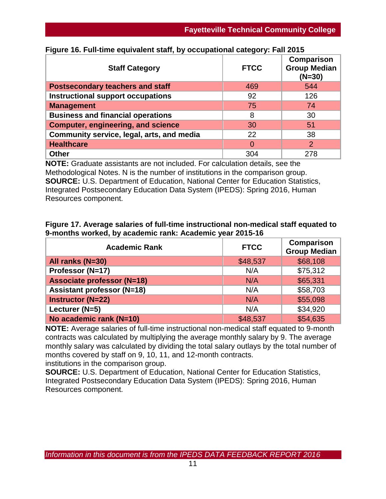| <b>Staff Category</b>                     | <b>FTCC</b> | <b>Comparison</b><br><b>Group Median</b><br>$(N=30)$ |
|-------------------------------------------|-------------|------------------------------------------------------|
| <b>Postsecondary teachers and staff</b>   | 469         | 544                                                  |
| Instructional support occupations         | 92          | 126                                                  |
| <b>Management</b>                         | 75          | 74                                                   |
| <b>Business and financial operations</b>  | 8           | 30                                                   |
| <b>Computer, engineering, and science</b> | 30          | 51                                                   |
| Community service, legal, arts, and media | 22          | 38                                                   |
| <b>Healthcare</b>                         | $\Omega$    | 2                                                    |
| <b>Other</b>                              | 304         | 278                                                  |

## **Figure 16. Full-time equivalent staff, by occupational category: Fall 2015**

**NOTE:** Graduate assistants are not included. For calculation details, see the Methodological Notes. N is the number of institutions in the comparison group. **SOURCE:** U.S. Department of Education, National Center for Education Statistics, Integrated Postsecondary Education Data System (IPEDS): Spring 2016, Human Resources component.

### **Figure 17. Average salaries of full-time instructional non-medical staff equated to 9-months worked, by academic rank: Academic year 2015-16**

| <b>Academic Rank</b>              | <b>FTCC</b> | <b>Comparison</b><br>Group Median |
|-----------------------------------|-------------|-----------------------------------|
| All ranks (N=30)                  | \$48,537    | \$68,108                          |
| Professor (N=17)                  | N/A         | \$75,312                          |
| <b>Associate professor (N=18)</b> | N/A         | \$65,331                          |
| <b>Assistant professor (N=18)</b> | N/A         | \$58,703                          |
| <b>Instructor (N=22)</b>          | N/A         | \$55,098                          |
| Lecturer (N=5)                    | N/A         | \$34,920                          |
| No academic rank (N=10)           | \$48,537    | \$54,635                          |

**NOTE:** Average salaries of full-time instructional non-medical staff equated to 9-month contracts was calculated by multiplying the average monthly salary by 9. The average monthly salary was calculated by dividing the total salary outlays by the total number of months covered by staff on 9, 10, 11, and 12-month contracts. institutions in the comparison group.

**SOURCE:** U.S. Department of Education, National Center for Education Statistics, Integrated Postsecondary Education Data System (IPEDS): Spring 2016, Human Resources component.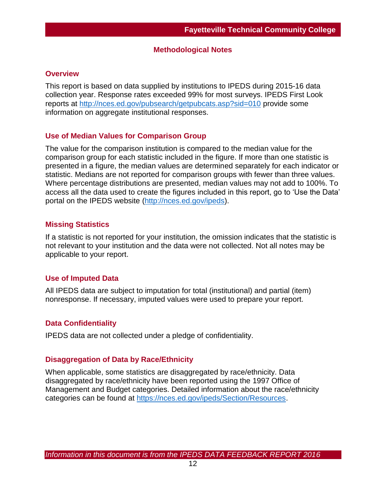### **Methodological Notes**

### **Overview**

This report is based on data supplied by institutions to IPEDS during 2015-16 data collection year. Response rates exceeded 99% for most surveys. IPEDS First Look reports at [http://nces.ed.gov/pubsearch/getpubcats.asp?sid=010](http://nces.ed.gov/pubsearch/getpubcats.asp?sid=010%20) provide some information on aggregate institutional responses.

### **Use of Median Values for Comparison Group**

The value for the comparison institution is compared to the median value for the comparison group for each statistic included in the figure. If more than one statistic is presented in a figure, the median values are determined separately for each indicator or statistic. Medians are not reported for comparison groups with fewer than three values. Where percentage distributions are presented, median values may not add to 100%. To access all the data used to create the figures included in this report, go to 'Use the Data' portal on the IPEDS website [\(http://nces.ed.gov/ipeds\)](http://nces.ed.gov/ipeds).

### **Missing Statistics**

If a statistic is not reported for your institution, the omission indicates that the statistic is not relevant to your institution and the data were not collected. Not all notes may be applicable to your report.

## **Use of Imputed Data**

All IPEDS data are subject to imputation for total (institutional) and partial (item) nonresponse. If necessary, imputed values were used to prepare your report.

## **Data Confidentiality**

IPEDS data are not collected under a pledge of confidentiality.

#### **Disaggregation of Data by Race/Ethnicity**

When applicable, some statistics are disaggregated by race/ethnicity. Data disaggregated by race/ethnicity have been reported using the 1997 Office of Management and Budget categories. Detailed information about the race/ethnicity categories can be found at [https://nces.ed.gov/ipeds/Section/Resources.](https://nces.ed.gov/ipeds/Section/Resources)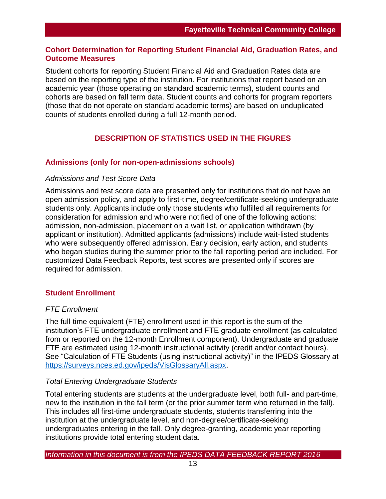## **Cohort Determination for Reporting Student Financial Aid, Graduation Rates, and Outcome Measures**

Student cohorts for reporting Student Financial Aid and Graduation Rates data are based on the reporting type of the institution. For institutions that report based on an academic year (those operating on standard academic terms), student counts and cohorts are based on fall term data. Student counts and cohorts for program reporters (those that do not operate on standard academic terms) are based on unduplicated counts of students enrolled during a full 12-month period.

# **DESCRIPTION OF STATISTICS USED IN THE FIGURES**

## **Admissions (only for non-open-admissions schools)**

### *Admissions and Test Score Data*

Admissions and test score data are presented only for institutions that do not have an open admission policy, and apply to first-time, degree/certificate-seeking undergraduate students only. Applicants include only those students who fulfilled all requirements for consideration for admission and who were notified of one of the following actions: admission, non-admission, placement on a wait list, or application withdrawn (by applicant or institution). Admitted applicants (admissions) include wait-listed students who were subsequently offered admission. Early decision, early action, and students who began studies during the summer prior to the fall reporting period are included. For customized Data Feedback Reports, test scores are presented only if scores are required for admission.

## **Student Enrollment**

## *FTE Enrollment*

The full-time equivalent (FTE) enrollment used in this report is the sum of the institution's FTE undergraduate enrollment and FTE graduate enrollment (as calculated from or reported on the 12-month Enrollment component). Undergraduate and graduate FTE are estimated using 12-month instructional activity (credit and/or contact hours). See "Calculation of FTE Students (using instructional activity)" in the IPEDS Glossary at [https://surveys.nces.ed.gov/ipeds/VisGlossaryAll.aspx.](https://surveys.nces.ed.gov/ipeds/VisGlossaryAll.aspx)

## *Total Entering Undergraduate Students*

Total entering students are students at the undergraduate level, both full- and part-time, new to the institution in the fall term (or the prior summer term who returned in the fall). This includes all first-time undergraduate students, students transferring into the institution at the undergraduate level, and non-degree/certificate-seeking undergraduates entering in the fall. Only degree-granting, academic year reporting institutions provide total entering student data.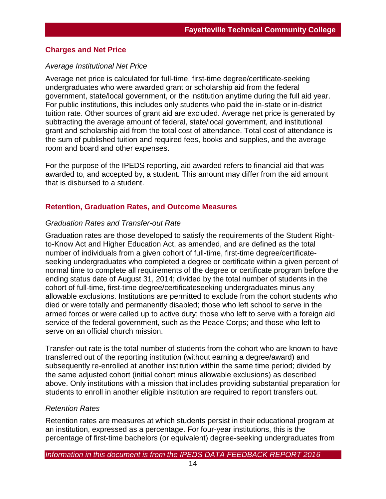### **Charges and Net Price**

### *Average Institutional Net Price*

Average net price is calculated for full-time, first-time degree/certificate-seeking undergraduates who were awarded grant or scholarship aid from the federal government, state/local government, or the institution anytime during the full aid year. For public institutions, this includes only students who paid the in-state or in-district tuition rate. Other sources of grant aid are excluded. Average net price is generated by subtracting the average amount of federal, state/local government, and institutional grant and scholarship aid from the total cost of attendance. Total cost of attendance is the sum of published tuition and required fees, books and supplies, and the average room and board and other expenses.

For the purpose of the IPEDS reporting, aid awarded refers to financial aid that was awarded to, and accepted by, a student. This amount may differ from the aid amount that is disbursed to a student.

### **Retention, Graduation Rates, and Outcome Measures**

#### *Graduation Rates and Transfer-out Rate*

Graduation rates are those developed to satisfy the requirements of the Student Rightto-Know Act and Higher Education Act, as amended, and are defined as the total number of individuals from a given cohort of full-time, first-time degree/certificateseeking undergraduates who completed a degree or certificate within a given percent of normal time to complete all requirements of the degree or certificate program before the ending status date of August 31, 2014; divided by the total number of students in the cohort of full-time, first-time degree/certificateseeking undergraduates minus any allowable exclusions. Institutions are permitted to exclude from the cohort students who died or were totally and permanently disabled; those who left school to serve in the armed forces or were called up to active duty; those who left to serve with a foreign aid service of the federal government, such as the Peace Corps; and those who left to serve on an official church mission.

Transfer-out rate is the total number of students from the cohort who are known to have transferred out of the reporting institution (without earning a degree/award) and subsequently re-enrolled at another institution within the same time period; divided by the same adjusted cohort (initial cohort minus allowable exclusions) as described above. Only institutions with a mission that includes providing substantial preparation for students to enroll in another eligible institution are required to report transfers out.

#### *Retention Rates*

Retention rates are measures at which students persist in their educational program at an institution, expressed as a percentage. For four-year institutions, this is the percentage of first-time bachelors (or equivalent) degree-seeking undergraduates from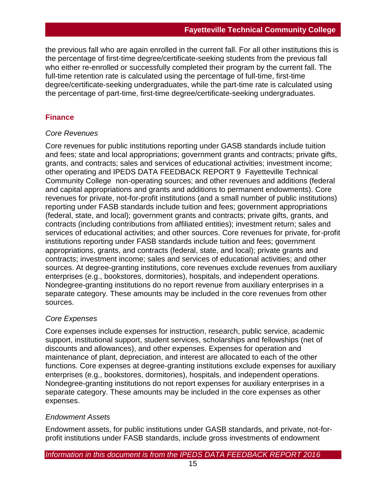the previous fall who are again enrolled in the current fall. For all other institutions this is the percentage of first-time degree/certificate-seeking students from the previous fall who either re-enrolled or successfully completed their program by the current fall. The full-time retention rate is calculated using the percentage of full-time, first-time degree/certificate-seeking undergraduates, while the part-time rate is calculated using the percentage of part-time, first-time degree/certificate-seeking undergraduates.

# **Finance**

## *Core Revenues*

Core revenues for public institutions reporting under GASB standards include tuition and fees; state and local appropriations; government grants and contracts; private gifts, grants, and contracts; sales and services of educational activities; investment income; other operating and IPEDS DATA FEEDBACK REPORT 9 Fayetteville Technical Community College non-operating sources; and other revenues and additions (federal and capital appropriations and grants and additions to permanent endowments). Core revenues for private, not-for-profit institutions (and a small number of public institutions) reporting under FASB standards include tuition and fees; government appropriations (federal, state, and local); government grants and contracts; private gifts, grants, and contracts (including contributions from affiliated entities); investment return; sales and services of educational activities; and other sources. Core revenues for private, for-profit institutions reporting under FASB standards include tuition and fees; government appropriations, grants, and contracts (federal, state, and local); private grants and contracts; investment income; sales and services of educational activities; and other sources. At degree-granting institutions, core revenues exclude revenues from auxiliary enterprises (e.g., bookstores, dormitories), hospitals, and independent operations. Nondegree-granting institutions do no report revenue from auxiliary enterprises in a separate category. These amounts may be included in the core revenues from other sources.

# *Core Expenses*

Core expenses include expenses for instruction, research, public service, academic support, institutional support, student services, scholarships and fellowships (net of discounts and allowances), and other expenses. Expenses for operation and maintenance of plant, depreciation, and interest are allocated to each of the other functions. Core expenses at degree-granting institutions exclude expenses for auxiliary enterprises (e.g., bookstores, dormitories), hospitals, and independent operations. Nondegree-granting institutions do not report expenses for auxiliary enterprises in a separate category. These amounts may be included in the core expenses as other expenses.

# *Endowment Assets*

Endowment assets, for public institutions under GASB standards, and private, not-forprofit institutions under FASB standards, include gross investments of endowment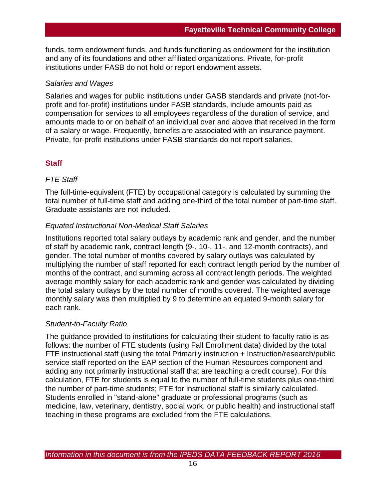funds, term endowment funds, and funds functioning as endowment for the institution and any of its foundations and other affiliated organizations. Private, for-profit institutions under FASB do not hold or report endowment assets.

## *Salaries and Wages*

Salaries and wages for public institutions under GASB standards and private (not-forprofit and for-profit) institutions under FASB standards, include amounts paid as compensation for services to all employees regardless of the duration of service, and amounts made to or on behalf of an individual over and above that received in the form of a salary or wage. Frequently, benefits are associated with an insurance payment. Private, for-profit institutions under FASB standards do not report salaries.

## **Staff**

## *FTE Staff*

The full-time-equivalent (FTE) by occupational category is calculated by summing the total number of full-time staff and adding one-third of the total number of part-time staff. Graduate assistants are not included.

## *Equated Instructional Non-Medical Staff Salaries*

Institutions reported total salary outlays by academic rank and gender, and the number of staff by academic rank, contract length (9-, 10-, 11-, and 12-month contracts), and gender. The total number of months covered by salary outlays was calculated by multiplying the number of staff reported for each contract length period by the number of months of the contract, and summing across all contract length periods. The weighted average monthly salary for each academic rank and gender was calculated by dividing the total salary outlays by the total number of months covered. The weighted average monthly salary was then multiplied by 9 to determine an equated 9-month salary for each rank.

## *Student-to-Faculty Ratio*

The guidance provided to institutions for calculating their student-to-faculty ratio is as follows: the number of FTE students (using Fall Enrollment data) divided by the total FTE instructional staff (using the total Primarily instruction + Instruction/research/public service staff reported on the EAP section of the Human Resources component and adding any not primarily instructional staff that are teaching a credit course). For this calculation, FTE for students is equal to the number of full-time students plus one-third the number of part-time students; FTE for instructional staff is similarly calculated. Students enrolled in "stand-alone" graduate or professional programs (such as medicine, law, veterinary, dentistry, social work, or public health) and instructional staff teaching in these programs are excluded from the FTE calculations.